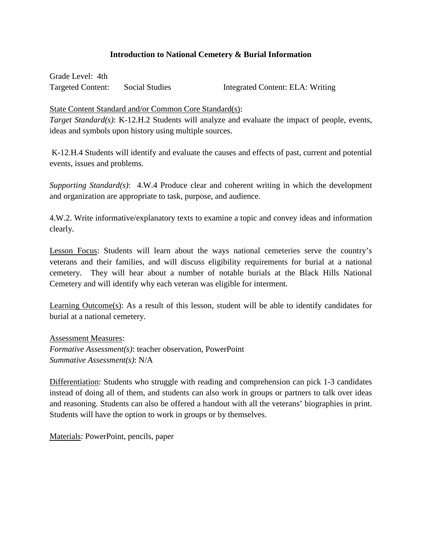## **Introduction to National Cemetery & Burial Information**

 Grade Level: 4th **Targeted Content:** 

Social Studies Integrated Content: ELA: Writing

State Content Standard and/or Common Core Standard(s):

 *Target Standard(s)*: K-12.H.2 Students will analyze and evaluate the impact of people, events, ideas and symbols upon history using multiple sources.

 K-12.H.4 Students will identify and evaluate the causes and effects of past, current and potential events, issues and problems.

*Supporting Standard(s)*: 4.W.4 Produce clear and coherent writing in which the development and organization are appropriate to task, purpose, and audience.

4.W.2. Write informative/explanatory texts to examine a topic and convey ideas and information clearly.

 cemetery. They will hear about a number of notable burials at the Black Hills National Lesson Focus: Students will learn about the ways national cemeteries serve the country's veterans and their families, and will discuss eligibility requirements for burial at a national Cemetery and will identify why each veteran was eligible for interment.

 burial at a national cemetery. Learning Outcome(s): As a result of this lesson, student will be able to identify candidates for

 *Formative Assessment(s)*: teacher observation, PowerPoint Assessment Measures: *Summative Assessment(s)*: N/A

Differentiation: Students who struggle with reading and comprehension can pick 1-3 candidates instead of doing all of them, and students can also work in groups or partners to talk over ideas and reasoning. Students can also be offered a handout with all the veterans' biographies in print. Students will have the option to work in groups or by themselves.

Materials: PowerPoint, pencils, paper